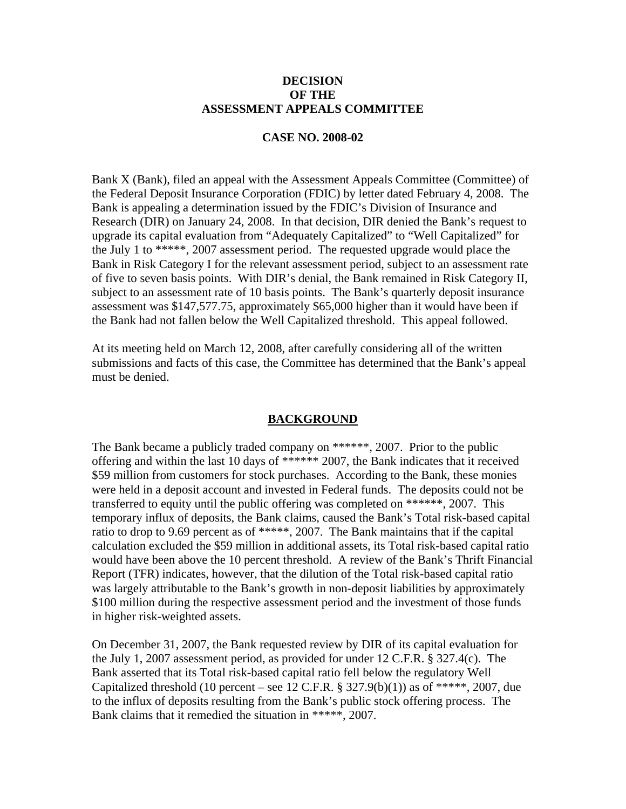### **DECISION OF THE ASSESSMENT APPEALS COMMITTEE**

#### **CASE NO. 2008-02**

Bank X (Bank), filed an appeal with the Assessment Appeals Committee (Committee) of the Federal Deposit Insurance Corporation (FDIC) by letter dated February 4, 2008. The Bank is appealing a determination issued by the FDIC's Division of Insurance and Research (DIR) on January 24, 2008. In that decision, DIR denied the Bank's request to upgrade its capital evaluation from "Adequately Capitalized" to "Well Capitalized" for the July 1 to \*\*\*\*\*, 2007 assessment period. The requested upgrade would place the Bank in Risk Category I for the relevant assessment period, subject to an assessment rate of five to seven basis points. With DIR's denial, the Bank remained in Risk Category II, subject to an assessment rate of 10 basis points. The Bank's quarterly deposit insurance assessment was \$147,577.75, approximately \$65,000 higher than it would have been if the Bank had not fallen below the Well Capitalized threshold. This appeal followed.

At its meeting held on March 12, 2008, after carefully considering all of the written submissions and facts of this case, the Committee has determined that the Bank's appeal must be denied.

### **BACKGROUND**

The Bank became a publicly traded company on \*\*\*\*\*\*, 2007. Prior to the public offering and within the last 10 days of \*\*\*\*\*\* 2007, the Bank indicates that it received \$59 million from customers for stock purchases. According to the Bank, these monies were held in a deposit account and invested in Federal funds. The deposits could not be transferred to equity until the public offering was completed on \*\*\*\*\*\*, 2007. This temporary influx of deposits, the Bank claims, caused the Bank's Total risk-based capital ratio to drop to 9.69 percent as of \*\*\*\*\*, 2007. The Bank maintains that if the capital calculation excluded the \$59 million in additional assets, its Total risk-based capital ratio would have been above the 10 percent threshold. A review of the Bank's Thrift Financial Report (TFR) indicates, however, that the dilution of the Total risk-based capital ratio was largely attributable to the Bank's growth in non-deposit liabilities by approximately \$100 million during the respective assessment period and the investment of those funds in higher risk-weighted assets.

On December 31, 2007, the Bank requested review by DIR of its capital evaluation for the July 1, 2007 assessment period, as provided for under 12 C.F.R. § 327.4(c). The Bank asserted that its Total risk-based capital ratio fell below the regulatory Well Capitalized threshold (10 percent – see 12 C.F.R.  $\S$  327.9(b)(1)) as of \*\*\*\*\*, 2007, due to the influx of deposits resulting from the Bank's public stock offering process. The Bank claims that it remedied the situation in \*\*\*\*\*, 2007.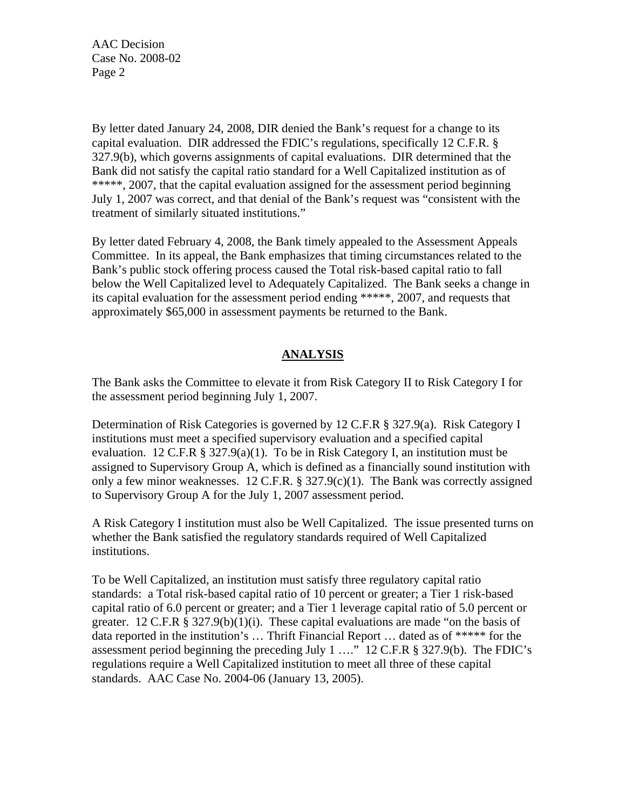AAC Decision Case No. 2008-02 Page 2

By letter dated January 24, 2008, DIR denied the Bank's request for a change to its capital evaluation. DIR addressed the FDIC's regulations, specifically 12 C.F.R. § 327.9(b), which governs assignments of capital evaluations. DIR determined that the Bank did not satisfy the capital ratio standard for a Well Capitalized institution as of \*\*\*\*\*, 2007, that the capital evaluation assigned for the assessment period beginning July 1, 2007 was correct, and that denial of the Bank's request was "consistent with the treatment of similarly situated institutions."

By letter dated February 4, 2008, the Bank timely appealed to the Assessment Appeals Committee. In its appeal, the Bank emphasizes that timing circumstances related to the Bank's public stock offering process caused the Total risk-based capital ratio to fall below the Well Capitalized level to Adequately Capitalized. The Bank seeks a change in its capital evaluation for the assessment period ending \*\*\*\*\*, 2007, and requests that approximately \$65,000 in assessment payments be returned to the Bank.

# **ANALYSIS**

The Bank asks the Committee to elevate it from Risk Category II to Risk Category I for the assessment period beginning July 1, 2007.

Determination of Risk Categories is governed by 12 C.F.R § 327.9(a). Risk Category I institutions must meet a specified supervisory evaluation and a specified capital evaluation. 12 C.F.R § 327.9(a)(1). To be in Risk Category I, an institution must be assigned to Supervisory Group A, which is defined as a financially sound institution with only a few minor weaknesses. 12 C.F.R. § 327.9(c)(1). The Bank was correctly assigned to Supervisory Group A for the July 1, 2007 assessment period.

A Risk Category I institution must also be Well Capitalized. The issue presented turns on whether the Bank satisfied the regulatory standards required of Well Capitalized institutions.

To be Well Capitalized, an institution must satisfy three regulatory capital ratio standards: a Total risk-based capital ratio of 10 percent or greater; a Tier 1 risk-based capital ratio of 6.0 percent or greater; and a Tier 1 leverage capital ratio of 5.0 percent or greater. 12 C.F.R § 327.9(b)(1)(i). These capital evaluations are made "on the basis of data reported in the institution's … Thrift Financial Report … dated as of \*\*\*\*\* for the assessment period beginning the preceding July 1 …." 12 C.F.R § 327.9(b). The FDIC's regulations require a Well Capitalized institution to meet all three of these capital standards. AAC Case No. 2004-06 (January 13, 2005).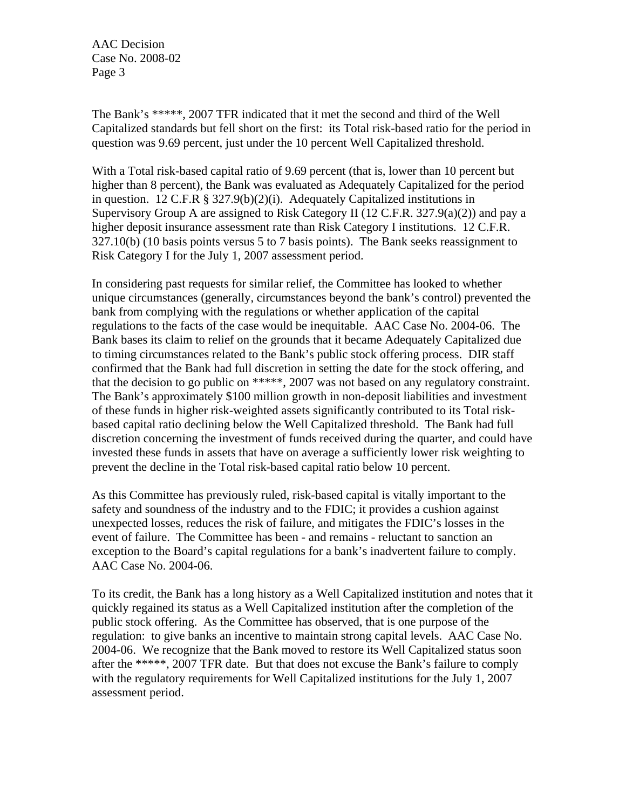AAC Decision Case No. 2008-02 Page 3

The Bank's \*\*\*\*\*, 2007 TFR indicated that it met the second and third of the Well Capitalized standards but fell short on the first: its Total risk-based ratio for the period in question was 9.69 percent, just under the 10 percent Well Capitalized threshold.

With a Total risk-based capital ratio of 9.69 percent (that is, lower than 10 percent but higher than 8 percent), the Bank was evaluated as Adequately Capitalized for the period in question. 12 C.F.R § 327.9(b)(2)(i). Adequately Capitalized institutions in Supervisory Group A are assigned to Risk Category II (12 C.F.R. 327.9(a)(2)) and pay a higher deposit insurance assessment rate than Risk Category I institutions. 12 C.F.R. 327.10(b) (10 basis points versus 5 to 7 basis points). The Bank seeks reassignment to Risk Category I for the July 1, 2007 assessment period.

In considering past requests for similar relief, the Committee has looked to whether unique circumstances (generally, circumstances beyond the bank's control) prevented the bank from complying with the regulations or whether application of the capital regulations to the facts of the case would be inequitable. AAC Case No. 2004-06. The Bank bases its claim to relief on the grounds that it became Adequately Capitalized due to timing circumstances related to the Bank's public stock offering process. DIR staff confirmed that the Bank had full discretion in setting the date for the stock offering, and that the decision to go public on \*\*\*\*\*, 2007 was not based on any regulatory constraint. The Bank's approximately \$100 million growth in non-deposit liabilities and investment of these funds in higher risk-weighted assets significantly contributed to its Total riskbased capital ratio declining below the Well Capitalized threshold. The Bank had full discretion concerning the investment of funds received during the quarter, and could have invested these funds in assets that have on average a sufficiently lower risk weighting to prevent the decline in the Total risk-based capital ratio below 10 percent.

As this Committee has previously ruled, risk-based capital is vitally important to the safety and soundness of the industry and to the FDIC; it provides a cushion against unexpected losses, reduces the risk of failure, and mitigates the FDIC's losses in the event of failure. The Committee has been - and remains - reluctant to sanction an exception to the Board's capital regulations for a bank's inadvertent failure to comply. AAC Case No. 2004-06.

To its credit, the Bank has a long history as a Well Capitalized institution and notes that it quickly regained its status as a Well Capitalized institution after the completion of the public stock offering. As the Committee has observed, that is one purpose of the regulation: to give banks an incentive to maintain strong capital levels. AAC Case No. 2004-06. We recognize that the Bank moved to restore its Well Capitalized status soon after the \*\*\*\*\*, 2007 TFR date. But that does not excuse the Bank's failure to comply with the regulatory requirements for Well Capitalized institutions for the July 1, 2007 assessment period.